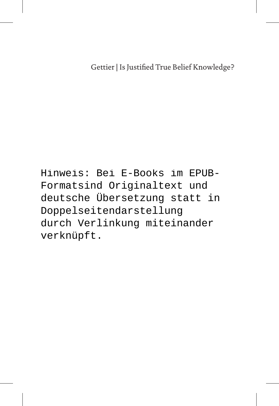Hinweis: Bei E-Books im EPUB-Formatsind Originaltext und deutsche Übersetzung statt in Doppelseitendarstellung durch Verlinkung miteinander verknüpft.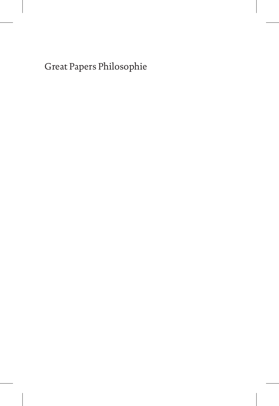Great Papers Philosophie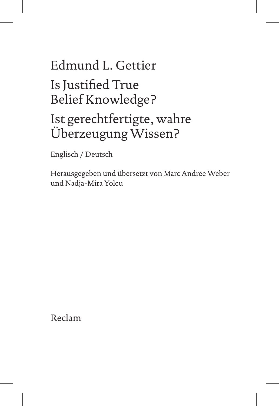# Edmund L. Gettier Is Justified True

Belief Knowledge?

Ist gerechtfertigte, wahre Überzeugung Wissen?

Englisch / Deutsch

Herausgegeben und übersetzt von Marc Andree Weber und Nadja-Mira Yolcu

Reclam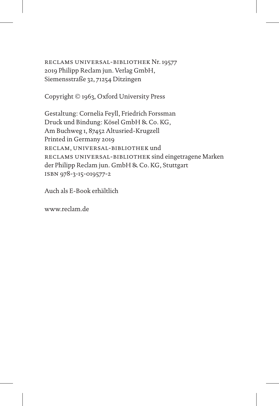Reclams Universal-Bibliothek Nr. 19577 2019 Philipp Reclam jun. Verlag GmbH, Siemensstraße 32, 71254 Ditzingen

Copyright © 1963, Oxford University Press

Gestaltung: Cornelia Feyll, Friedrich Forssman Druck und Bindung: Kösel GmbH & Co. KG, Am Buchweg 1, 87452 Altusried-Krugzell Printed in Germany 2019 Reclam, Universal-Bibliothek und Reclams Universal-Bibliothek sind eingetragene Marken der Philipp Reclam jun. GmbH & Co. KG, Stuttgart ISBN 978-3-15-019577-2

Auch als E-Book erhältlich

www.reclam.de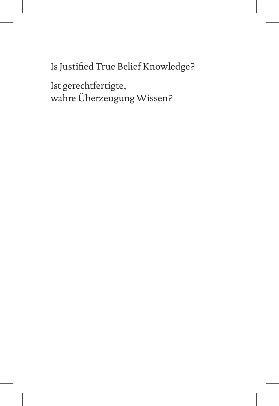Is Justified True Belief Knowledge?

Ist gerechtfertigte, wahre Überzeugung Wissen?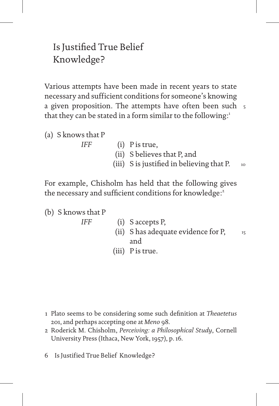# Is Justified True Belief Knowledge?

Various attempts have been made in recent years to state necessary and sufficient conditions for someone's knowing a given proposition. The attempts have often been such that they can be stated in a form similar to the following:<sup>1</sup> 5

- (a) S knows that P
	- *IFF* (i) P is true, (ii) S believes that P, and (iii) S is justified in believing that P. 10

For example, Chisholm has held that the following gives the necessary and sufficient conditions for knowledge:<sup>2</sup>

(b) S knows that P

*IFF* (i) S accepts P,

- (ii) S has adequate evidence for P, and and state of the state of the state of the state of the state of the state of the state of the state of the 15
	- (iii) P is true.

- 1 Plato seems to be considering some such definition at *Theaetetus* 201, and perhaps accepting one at *Meno* 98.
- 2 Roderick M. Chisholm, *Perceiving: a Philosophical Study*, Cornell University Press (Ithaca, New York, 1957), p. 16.
- 6 Is Justified True Belief Knowledge?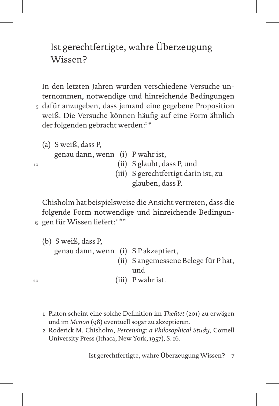## Ist gerechtfertigte, wahre Überzeugung Wissen?

In den letzten Jahren wurden verschiedene Versuche unternommen, notwendige und hinreichende Bedingungen dafür anzugeben, dass jemand eine gegebene Proposition 5 weiß. Die Versuche können häufig auf eine Form ähnlich der folgenden gebracht werden:<sup>1\*</sup>

(a) S weiß, dass P,

10

20

genau dann, wenn (i) P wahr ist,

- (ii) S glaubt, dass P, und
- (iii) S gerechtfertigt darin ist, zu glauben, dass P.

Chisholm hat beispielsweise die Ansicht vertreten, dass die folgende Form notwendige und hinreichende Bedingun-15 gen für Wissen liefert:<sup>2</sup> \*\*

| (b) S weiß, dass P,                  |                                      |
|--------------------------------------|--------------------------------------|
| genau dann, wenn (i) S P akzeptiert, |                                      |
|                                      | (ii) S angemessene Belege für P hat, |
|                                      | und                                  |
|                                      | (iii) P wahr ist.                    |

- 1 Platon scheint eine solche Definition im *Theätet* (201) zu erwägen und im *Menon* (98) eventuell sogar zu akzeptieren.
- 2 Roderick M. Chisholm, *Perceiving: a Philosophical Study*, Cornell University Press (Ithaca, New York, 1957), S. 16.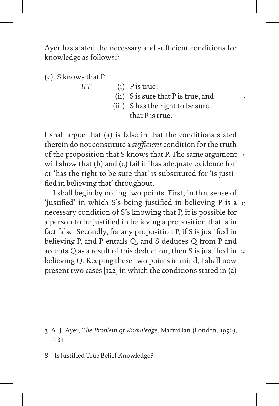Ayer has stated the necessary and sufficient conditions for knowledge as follows:3

(c) S knows that P

- *IFF* (i) P is true,
	- (ii) S is sure that P is true, and

5

(iii) S has the right to be sure

that P is true.

I shall argue that (a) is false in that the conditions stated therein do not constitute a *sufficient* condition for the truth of the proposition that S knows that P. The same argument  $\,$  10  $\,$ will show that (b) and (c) fail if 'has adequate evidence for' or 'has the right to be sure that' is substituted for 'is justified in believing that' throughout.

I shall begin by noting two points. First, in that sense of 'justified' in which S's being justified in believing P is a 15 necessary condition of S's knowing that P, it is possible for a person to be justified in believing a proposition that is in fact false. Secondly, for any proposition P, if S is justified in believing P, and P entails Q, and S deduces Q from P and accepts Q as a result of this deduction, then S is justified in  $\,$  20  $\,$ believing Q. Keeping these two points in mind, I shall now present two cases [122] in which the conditions stated in (a)

- 3 A. J. Ayer, *The Problem of Knowledge*, Macmillan (London, 1956), p. 34.
- 8 Is Justified True Belief Knowledge?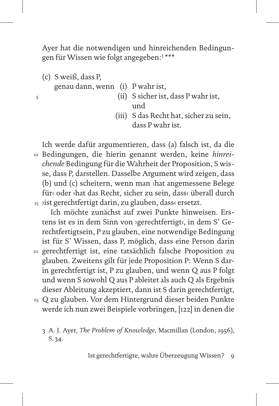Ayer hat die notwendigen und hinreichenden Bedingungen für Wissen wie folgt angegeben:3 \*\*\*

- (c) S weiß, dass P,
	- genau dann, wenn (i) P wahr ist,
- 5
- (ii) S sicher ist, dass P wahr ist, und
- (iii) S das Recht hat, sicher zu sein, dass P wahr ist.

Ich werde dafür argumentieren, dass (a) falsch ist, da die Bedingungen, die hierin genannt werden, keine *hinrei-*10 *chende* Bedingung für die Wahrheit der Proposition, S wisse, dass P, darstellen. Dasselbe Argument wird zeigen, dass (b) und (c) scheitern, wenn man ›hat angemessene Belege für‹ oder ›hat das Recht, sicher zu sein, dass‹ überall durch 15 ›ist gerechtfertigt darin, zu glauben, dass‹ ersetzt.

Ich möchte zunächst auf zwei Punkte hinweisen. Erstens ist es in dem Sinn von ›gerechtfertigt‹, in dem S' Gerechtfertigtsein, P zu glauben, eine notwendige Bedingung ist für S' Wissen, dass P, möglich, dass eine Person darin gerechtfertigt ist, eine tatsächlich falsche Proposition zu 20 glauben. Zweitens gilt für jede Proposition P: Wenn S darin gerechtfertigt ist, P zu glauben, und wenn Q aus P folgt und wenn S sowohl Q aus P ableitet als auch Q als Ergebnis dieser Ableitung akzeptiert, dann ist S darin gerechtfertigt,

Q zu glauben. Vor dem Hintergrund dieser beiden Punkte 25werde ich nun zwei Beispiele vorbringen, [122] in denen die

#### 3 A. J. Ayer, *The Problem of Knowledge*, Macmillan (London, 1956), S. 34.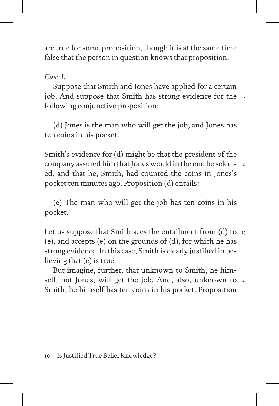are true for some proposition, though it is at the same time false that the person in question knows that proposition.

*Case I:*

Suppose that Smith and Jones have applied for a certain job. And suppose that Smith has strong evidence for the 5 following conjunctive proposition:

(d) Jones is the man who will get the job, and Jones has ten coins in his pocket.

Smith's evidence for (d) might be that the president of the company assured him that Jones would in the end be select-10 ed, and that he, Smith, had counted the coins in Jones's pocket ten minutes ago. Proposition (d) entails:

(e) The man who will get the job has ten coins in his pocket.

Let us suppose that Smith sees the entailment from (d) to  $\,$  15  $\,$ (e), and accepts (e) on the grounds of (d), for which he has strong evidence. In this case, Smith is clearly justified in believing that (e) is true.

But imagine, further, that unknown to Smith, he himself, not Jones, will get the job. And, also, unknown to 20Smith, he himself has ten coins in his pocket. Proposition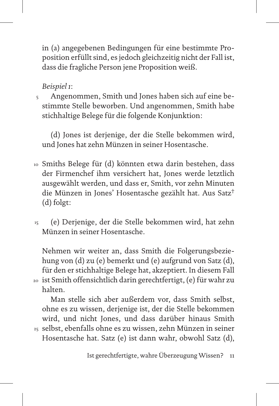in (a) angegebenen Bedingungen für eine bestimmte Proposition erfüllt sind, es jedoch gleichzeitig nicht der Fall ist, dass die fragliche Person jene Proposition weiß.

*Beispiel 1*:

Angenommen, Smith und Jones haben sich auf eine bestimmte Stelle beworben. Und angenommen, Smith habe stichhaltige Belege für die folgende Konjunktion: 5

(d) Jones ist derjenige, der die Stelle bekommen wird, und Jones hat zehn Münzen in seiner Hosentasche.

- Smiths Belege für (d) könnten etwa darin bestehen, dass 10 der Firmenchef ihm versichert hat, Jones werde letztlich ausgewählt werden, und dass er, Smith, vor zehn Minuten die Münzen in Jones' Hosentasche gezählt hat. Aus Satz† (d) folgt:
- (e) Derjenige, der die Stelle bekommen wird, hat zehn Münzen in seiner Hosentasche. 15

Nehmen wir weiter an, dass Smith die Folgerungsbeziehung von (d) zu (e) bemerkt und (e) aufgrund von Satz (d), für den er stichhaltige Belege hat, akzeptiert. In diesem Fall ist Smith offensichtlich darin gerechtfertigt, (e) für wahr zu 20 halten.

Man stelle sich aber außerdem vor, dass Smith selbst, ohne es zu wissen, derjenige ist, der die Stelle bekommen wird, und nicht Jones, und dass darüber hinaus Smith selbst, ebenfalls ohne es zu wissen, zehn Münzen in seiner 25Hosentasche hat. Satz (e) ist dann wahr, obwohl Satz (d),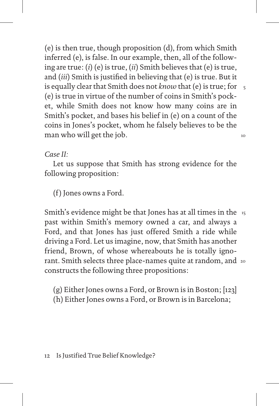(e) is then true, though proposition (d), from which Smith inferred (e), is false. In our example, then, all of the following are true: (*i*) (e) is true, (*ii*) Smith believes that (e) is true, and (*iii*) Smith is justified in believing that (e) is true. But it is equally clear that Smith does not *know* that (e) is true; for 5 (e) is true in virtue of the number of coins in Smith's pocket, while Smith does not know how many coins are in Smith's pocket, and bases his belief in (e) on a count of the coins in Jones's pocket, whom he falsely believes to be the man who will get the job.

### *Case II:*

Let us suppose that Smith has strong evidence for the following proposition:

(f) Jones owns a Ford.

Smith's evidence might be that Jones has at all times in the 15 past within Smith's memory owned a car, and always a Ford, and that Jones has just offered Smith a ride while driving a Ford. Let us imagine, now, that Smith has another friend, Brown, of whose whereabouts he is totally ignorant. Smith selects three place-names quite at random, and 20constructs the following three propositions:

(g) Either Jones owns a Ford, or Brown is in Boston; [123] (h) Either Jones owns a Ford, or Brown is in Barcelona;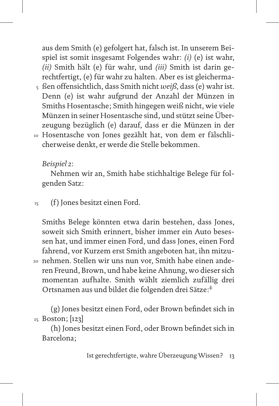aus dem Smith (e) gefolgert hat, falsch ist. In unserem Beispiel ist somit insgesamt Folgendes wahr: *(i)* (e) ist wahr, *(ii)* Smith hält (e) für wahr, und *(iii)* Smith ist darin gerechtfertigt, (e) für wahr zu halten. Aber es ist gleicherma-

- ßen offensichtlich, dass Smith nicht *weiß*, dass (e) wahr ist. 5 Denn (e) ist wahr aufgrund der Anzahl der Münzen in Smiths Hosentasche; Smith hingegen weiß nicht, wie viele Münzen in seiner Hosentasche sind, und stützt seine Überzeugung bezüglich (e) darauf, dass er die Münzen in der
- Hosentasche von Jones gezählt hat, von dem er fälschli-10 cherweise denkt, er werde die Stelle bekommen.

*Beispiel 2*:

Nehmen wir an, Smith habe stichhaltige Belege für folgenden Satz:

#### (f) Jones besitzt einen Ford. 15

Smiths Belege könnten etwa darin bestehen, dass Jones, soweit sich Smith erinnert, bisher immer ein Auto besessen hat, und immer einen Ford, und dass Jones, einen Ford fahrend, vor Kurzem erst Smith angeboten hat, ihn mitzunehmen. Stellen wir uns nun vor, Smith habe einen ande-20 ren Freund, Brown, und habe keine Ahnung, wo dieser sich momentan aufhalte. Smith wählt ziemlich zufällig drei Ortsnamen aus und bildet die folgenden drei Sätze:‡

(g) Jones besitzt einen Ford, oder Brown befindet sich in Boston; [123] 25

(h) Jones besitzt einen Ford, oder Brown befindet sich in Barcelona;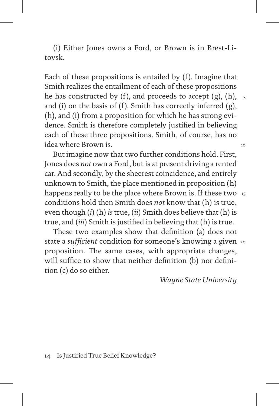(i) Either Jones owns a Ford, or Brown is in Brest-Litovsk.

Each of these propositions is entailed by (f). Imagine that Smith realizes the entailment of each of these propositions he has constructed by  $(f)$ , and proceeds to accept  $(g)$ ,  $(h)$ , and (i) on the basis of (f). Smith has correctly inferred (g), (h), and (i) from a proposition for which he has strong evidence. Smith is therefore completely justified in believing each of these three propositions. Smith, of course, has no idea where Brown is. 5

But imagine now that two further conditions hold. First, Jones does *not* own a Ford, but is at present driving a rented car. And secondly, by the sheerest coincidence, and entirely unknown to Smith, the place mentioned in proposition (h) happens really to be the place where Brown is. If these two 15 conditions hold then Smith does *not* know that (h) is true, even though (*i*) (h) *is* true, (*ii*) Smith does believe that (h) is true, and (*iii*) Smith is justified in believing that (h) is true.

These two examples show that definition (a) does not state a *sufficient* condition for someone's knowing a given 20proposition. The same cases, with appropriate changes, will suffice to show that neither definition (b) nor definition (c) do so either.

#### *Wayne State University*

10